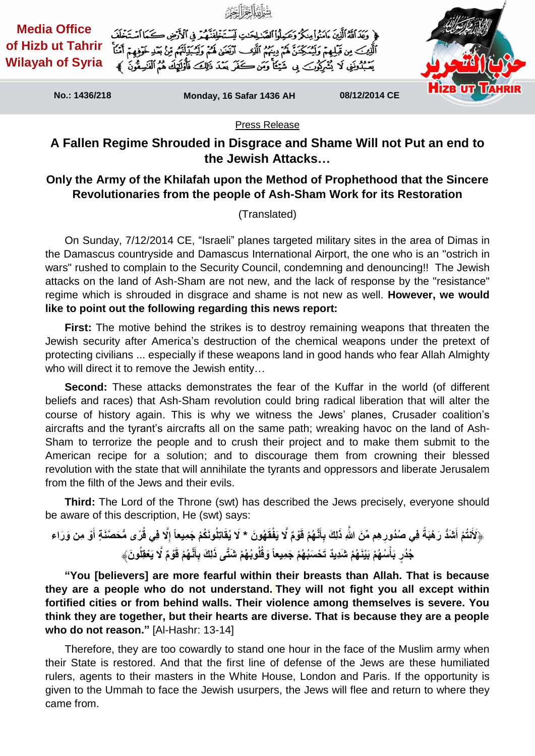

**Media Office** ﴿ وَعَدَاللَّهُ ٱلَّذِينَ ءَامَنُوا مِنكُمْ وَعَيَدِلُواْ ٱلصَّبْلِحَنَّ لَيَسْتَغْلِفَنَّهُمْ فِي ٱلْأرْضِ كَمَا أَسْتَغْلَفَ **of Hizb ut Tahrir** ٱلَّذِينَ> مِن قَبْلِهِمْ وَلَيُمَكِّنَنَّ لَهُمْ دِينَهُمُ ٱلَّذِي ۗ ٱلْقَنَىٰ لَهُمْ وَلَيُتَبَذِّلَهُم مِّنۢ بَعْدِ خَوْفِهِمْ أَمَّنَّا **Wilayah of Syria** يَعْبُدُونَنِي لَا يُشْرِكُونَ بِي شَيْئًا وَمَن كَفَرَ بَعْدَ ذَلِكَ فَأُوْلَيْهَكَ هُمُ ٱلْفَسِقُونَ ﴾



**No.: 1436/218 Monday, 16 Safar 1436 AH 08/12/2014 CE**

Press Release

## **A Fallen Regime Shrouded in Disgrace and Shame Will not Put an end to the Jewish Attacks…**

## **Only the Army of the Khilafah upon the Method of Prophethood that the Sincere Revolutionaries from the people of Ash-Sham Work for its Restoration**

(Translated)

On Sunday, 7/12/2014 CE, "Israeli" planes targeted military sites in the area of Dimas in the Damascus countryside and Damascus International Airport, the one who is an "ostrich in wars" rushed to complain to the Security Council, condemning and denouncing!! The Jewish attacks on the land of Ash-Sham are not new, and the lack of response by the "resistance" regime which is shrouded in disgrace and shame is not new as well. **However, we would like to point out the following regarding this news report:**

**First:** The motive behind the strikes is to destroy remaining weapons that threaten the Jewish security after America's destruction of the chemical weapons under the pretext of protecting civilians ... especially if these weapons land in good hands who fear Allah Almighty who will direct it to remove the Jewish entity…

**Second:** These attacks demonstrates the fear of the Kuffar in the world (of different beliefs and races) that Ash-Sham revolution could bring radical liberation that will alter the course of history again. This is why we witness the Jews' planes, Crusader coalition's aircrafts and the tyrant's aircrafts all on the same path; wreaking havoc on the land of Ash-Sham to terrorize the people and to crush their project and to make them submit to the American recipe for a solution; and to discourage them from crowning their blessed revolution with the state that will annihilate the tyrants and oppressors and liberate Jerusalem from the filth of the Jews and their evils.

**Third:** The Lord of the Throne (swt) has described the Jews precisely, everyone should be aware of this description, He (swt) says:

﴿لَأَنتُمْ أَشَدُّ رَهْبَةً فِي صُدُورِهِم مِّنَ اللَّهِ ذَٰلِكَ بِأَنَّهُمْ قَوْمٌ لَا يَفْقَهُونَ \* لَا يُقَاتِلُونَكُمْ جَمِيعاً إِلَّا فِي قُرًى مُّحَصَّنَةٍ أَوْ مِن وَرَاء **أ ِ أ ِ أ ً أ** جُدُرٍ بَأْسُهُمْ بَيْنَهُمْ شَدِيدٌ تَحْسَبُهُمْ جَمِيعاً وَقُلُوبُهُمْ شَتَّى ذَٰلِكَ بِأَنَّهُمْ قَوْمٌ لَّا يَعْقِلُونَ﴾ **ْ أ ِ**

**"You [believers] are more fearful within their breasts than Allah. That is because they are a people who do not understand. They will not fight you all except within fortified cities or from behind walls. Their violence among themselves is severe. You think they are together, but their hearts are diverse. That is because they are a people who do not reason."** [Al-Hashr: 13-14]

Therefore, they are too cowardly to stand one hour in the face of the Muslim army when their State is restored. And that the first line of defense of the Jews are these humiliated rulers, agents to their masters in the White House, London and Paris. If the opportunity is given to the Ummah to face the Jewish usurpers, the Jews will flee and return to where they came from.